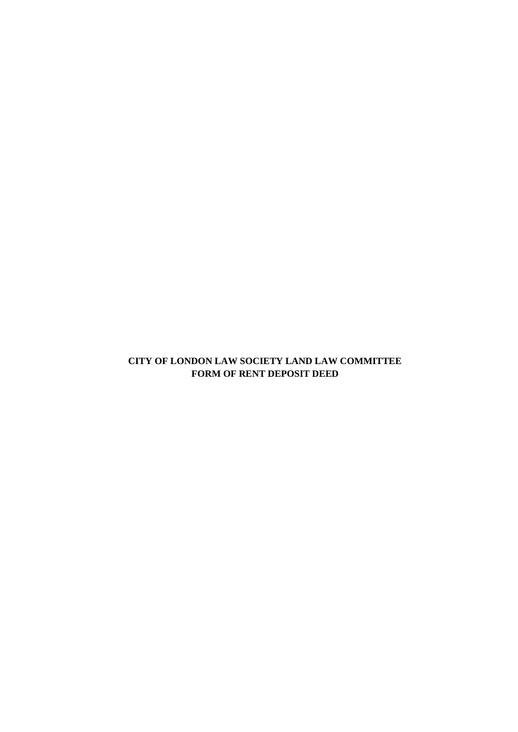# **CITY OF LONDON LAW SOCIETY LAND LAW COMMITTEE FORM OF RENT DEPOSIT DEED**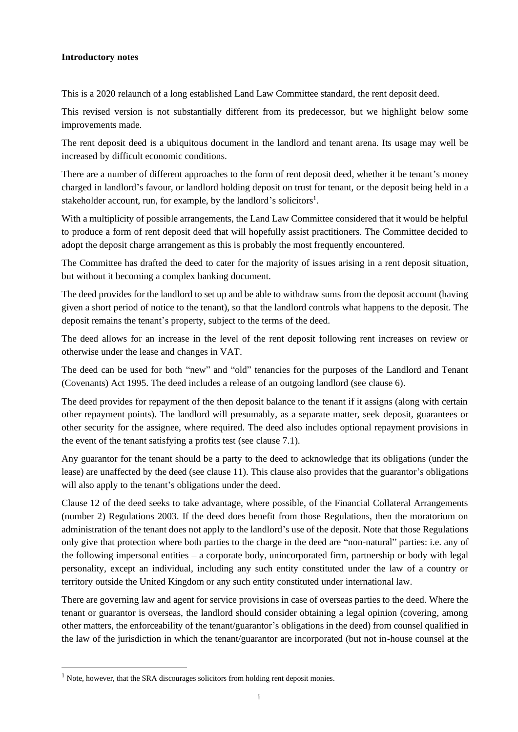#### **Introductory notes**

This is a 2020 relaunch of a long established Land Law Committee standard, the rent deposit deed.

This revised version is not substantially different from its predecessor, but we highlight below some improvements made.

The rent deposit deed is a ubiquitous document in the landlord and tenant arena. Its usage may well be increased by difficult economic conditions.

There are a number of different approaches to the form of rent deposit deed, whether it be tenant's money charged in landlord's favour, or landlord holding deposit on trust for tenant, or the deposit being held in a stakeholder account, run, for example, by the landlord's solicitors<sup>1</sup>.

With a multiplicity of possible arrangements, the Land Law Committee considered that it would be helpful to produce a form of rent deposit deed that will hopefully assist practitioners. The Committee decided to adopt the deposit charge arrangement as this is probably the most frequently encountered.

The Committee has drafted the deed to cater for the majority of issues arising in a rent deposit situation, but without it becoming a complex banking document.

The deed provides for the landlord to set up and be able to withdraw sums from the deposit account (having given a short period of notice to the tenant), so that the landlord controls what happens to the deposit. The deposit remains the tenant's property, subject to the terms of the deed.

The deed allows for an increase in the level of the rent deposit following rent increases on review or otherwise under the lease and changes in VAT.

The deed can be used for both "new" and "old" tenancies for the purposes of the Landlord and Tenant (Covenants) Act 1995. The deed includes a release of an outgoing landlord (see clause [6\)](#page-9-0).

The deed provides for repayment of the then deposit balance to the tenant if it assigns (along with certain other repayment points). The landlord will presumably, as a separate matter, seek deposit, guarantees or other security for the assignee, where required. The deed also includes optional repayment provisions in the event of the tenant satisfying a profits test (see clause [7.1\)](#page-9-1).

Any guarantor for the tenant should be a party to the deed to acknowledge that its obligations (under the lease) are unaffected by the deed (see clause [11\)](#page-11-0). This clause also provides that the guarantor's obligations will also apply to the tenant's obligations under the deed.

Clause [12](#page-11-1) of the deed seeks to take advantage, where possible, of the Financial Collateral Arrangements (number 2) Regulations 2003. If the deed does benefit from those Regulations, then the moratorium on administration of the tenant does not apply to the landlord's use of the deposit. Note that those Regulations only give that protection where both parties to the charge in the deed are "non-natural" parties: i.e. any of the following impersonal entities – a corporate body, unincorporated firm, partnership or body with legal personality, except an individual, including any such entity constituted under the law of a country or territory outside the United Kingdom or any such entity constituted under international law.

There are governing law and agent for service provisions in case of overseas parties to the deed. Where the tenant or guarantor is overseas, the landlord should consider obtaining a legal opinion (covering, among other matters, the enforceability of the tenant/guarantor's obligations in the deed) from counsel qualified in the law of the jurisdiction in which the tenant/guarantor are incorporated (but not in-house counsel at the

<sup>&</sup>lt;sup>1</sup> Note, however, that the SRA discourages solicitors from holding rent deposit monies.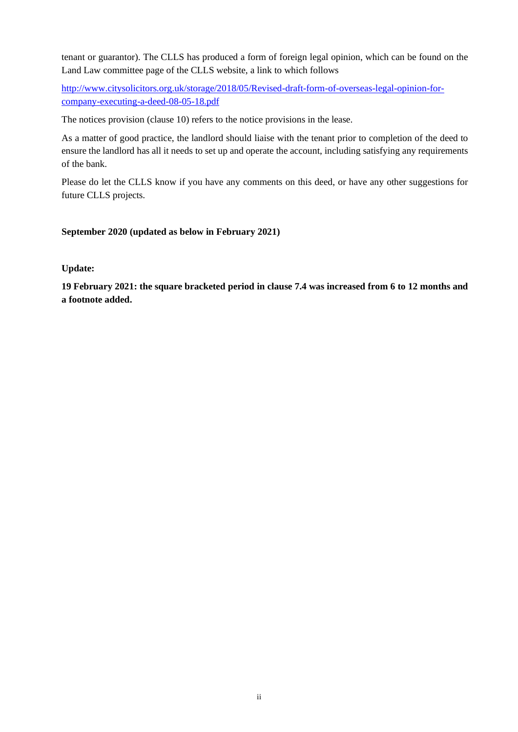tenant or guarantor). The CLLS has produced a form of foreign legal opinion, which can be found on the Land Law committee page of the CLLS website, a link to which follows

[http://www.citysolicitors.org.uk/storage/2018/05/Revised-draft-form-of-overseas-legal-opinion-for](http://www.citysolicitors.org.uk/storage/2018/05/Revised-draft-form-of-overseas-legal-opinion-for-company-executing-a-deed-08-05-18.pdf)[company-executing-a-deed-08-05-18.pdf](http://www.citysolicitors.org.uk/storage/2018/05/Revised-draft-form-of-overseas-legal-opinion-for-company-executing-a-deed-08-05-18.pdf)

The notices provision (clause [10\)](#page-11-2) refers to the notice provisions in the lease.

As a matter of good practice, the landlord should liaise with the tenant prior to completion of the deed to ensure the landlord has all it needs to set up and operate the account, including satisfying any requirements of the bank.

Please do let the CLLS know if you have any comments on this deed, or have any other suggestions for future CLLS projects.

## **September 2020 (updated as below in February 2021)**

**Update:**

**19 February 2021: the square bracketed period in clause 7.4 was increased from 6 to 12 months and a footnote added.**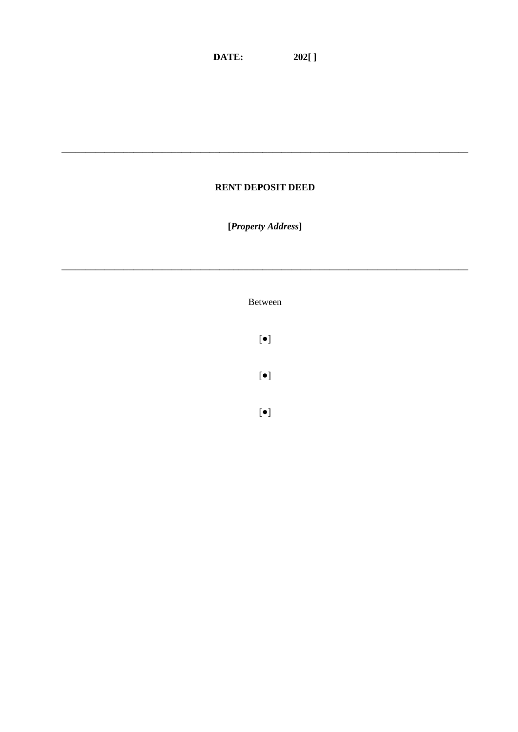## **RENT DEPOSIT DEED**

[Property Address]

Between

 $[\bullet]$ 

 $[\bullet]$ 

 $[\bullet]$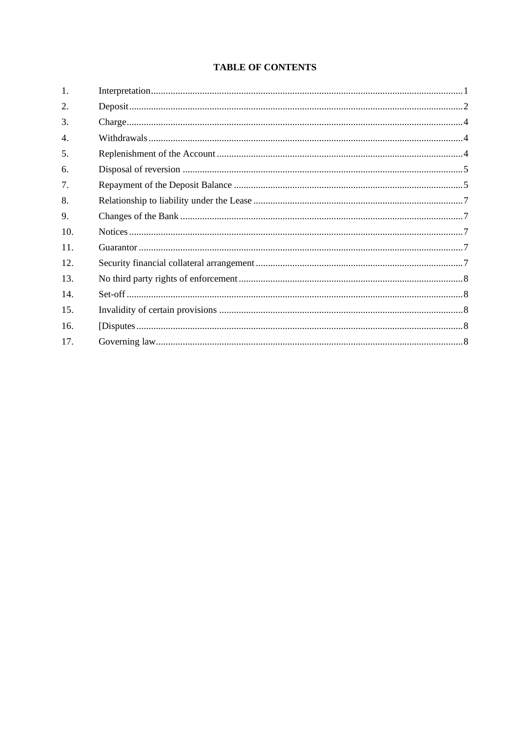## **TABLE OF CONTENTS**

| $\mathbf{1}$ .   |  |
|------------------|--|
| 2.               |  |
| 3.               |  |
| $\overline{4}$ . |  |
| 5.               |  |
| 6.               |  |
| 7.               |  |
| 8.               |  |
| 9.               |  |
| 10.              |  |
| 11.              |  |
| 12.              |  |
| 13.              |  |
| 14.              |  |
| 15.              |  |
| 16.              |  |
| 17.              |  |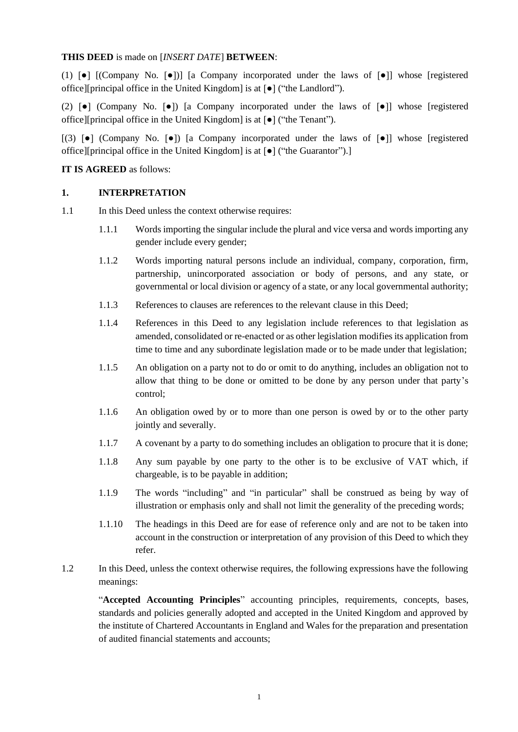#### **THIS DEED** is made on [*INSERT DATE*] **BETWEEN**:

(1) [●] [(Company No. [●])] [a Company incorporated under the laws of [●]] whose [registered office][principal office in the United Kingdom] is at [●] ("the Landlord").

(2) [●] (Company No. [●]) [a Company incorporated under the laws of [●]] whose [registered office][principal office in the United Kingdom] is at [●] ("the Tenant").

[(3)  $\lceil \bullet \rceil$  (Company No.  $\lceil \bullet \rceil$ ) [a Company incorporated under the laws of  $\lceil \bullet \rceil$ ] whose [registered office][principal office in the United Kingdom] is at [●] ("the Guarantor").]

#### **IT IS AGREED** as follows:

#### <span id="page-5-0"></span>**1. INTERPRETATION**

- 1.1 In this Deed unless the context otherwise requires:
	- 1.1.1 Words importing the singular include the plural and vice versa and words importing any gender include every gender;
	- 1.1.2 Words importing natural persons include an individual, company, corporation, firm, partnership, unincorporated association or body of persons, and any state, or governmental or local division or agency of a state, or any local governmental authority;
	- 1.1.3 References to clauses are references to the relevant clause in this Deed;
	- 1.1.4 References in this Deed to any legislation include references to that legislation as amended, consolidated or re-enacted or as other legislation modifies its application from time to time and any subordinate legislation made or to be made under that legislation;
	- 1.1.5 An obligation on a party not to do or omit to do anything, includes an obligation not to allow that thing to be done or omitted to be done by any person under that party's control;
	- 1.1.6 An obligation owed by or to more than one person is owed by or to the other party jointly and severally.
	- 1.1.7 A covenant by a party to do something includes an obligation to procure that it is done;
	- 1.1.8 Any sum payable by one party to the other is to be exclusive of VAT which, if chargeable, is to be payable in addition;
	- 1.1.9 The words "including" and "in particular" shall be construed as being by way of illustration or emphasis only and shall not limit the generality of the preceding words;
	- 1.1.10 The headings in this Deed are for ease of reference only and are not to be taken into account in the construction or interpretation of any provision of this Deed to which they refer.
- 1.2 In this Deed, unless the context otherwise requires, the following expressions have the following meanings:

"**Accepted Accounting Principles**" accounting principles, requirements, concepts, bases, standards and policies generally adopted and accepted in the United Kingdom and approved by the institute of Chartered Accountants in England and Wales for the preparation and presentation of audited financial statements and accounts;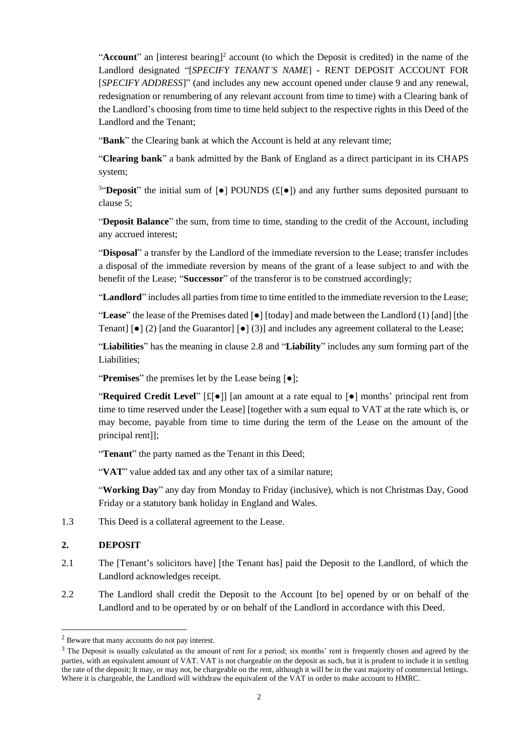"Account" an [interest bearing]<sup>2</sup> account (to which the Deposit is credited) in the name of the Landlord designated "[*SPECIFY TENANT'S NAME*] **-** RENT DEPOSIT ACCOUNT FOR [*SPECIFY ADDRESS*]" (and includes any new account opened under clause [9](#page-11-4) and any renewal, redesignation or renumbering of any relevant account from time to time) with a Clearing bank of the Landlord's choosing from time to time held subject to the respective rights in this Deed of the Landlord and the Tenant;

"**Bank**" the Clearing bank at which the Account is held at any relevant time;

"**Clearing bank**" a bank admitted by the Bank of England as a direct participant in its CHAPS system;

<sup>3</sup>"**Deposit**" the initial sum of [●] POUNDS (£[●]) and any further sums deposited pursuant to clause [5;](#page-8-2)

"**Deposit Balance**" the sum, from time to time, standing to the credit of the Account, including any accrued interest;

"**Disposal**" a transfer by the Landlord of the immediate reversion to the Lease; transfer includes a disposal of the immediate reversion by means of the grant of a lease subject to and with the benefit of the Lease; "**Successor**" of the transferor is to be construed accordingly;

"**Landlord**" includes all parties from time to time entitled to the immediate reversion to the Lease;

"**Lease**" the lease of the Premises dated [●] [today] and made between the Landlord (1) [and] [the Tenant]  $\lceil \bullet \rceil$  (2) [and the Guarantor]  $\lceil \bullet \rceil$  (3)] and includes any agreement collateral to the Lease;

"**Liabilities**" has the meaning in clause [2.8](#page-7-0) and "**Liability**" includes any sum forming part of the Liabilities;

"**Premises**" the premises let by the Lease being [●];

"**Required Credit Level**" [£[●]] [an amount at a rate equal to [●] months' principal rent from time to time reserved under the Lease] [together with a sum equal to VAT at the rate which is, or may become, payable from time to time during the term of the Lease on the amount of the principal rent]];

"**Tenant**" the party named as the Tenant in this Deed;

"VAT" value added tax and any other tax of a similar nature;

"**Working Day**" any day from Monday to Friday (inclusive), which is not Christmas Day, Good Friday or a statutory bank holiday in England and Wales.

1.3 This Deed is a collateral agreement to the Lease.

## <span id="page-6-0"></span>**2. DEPOSIT**

- 2.1 The [Tenant's solicitors have] [the Tenant has] paid the Deposit to the Landlord, of which the Landlord acknowledges receipt.
- 2.2 The Landlord shall credit the Deposit to the Account [to be] opened by or on behalf of the Landlord and to be operated by or on behalf of the Landlord in accordance with this Deed.

<sup>2</sup> Beware that many accounts do not pay interest.

<sup>&</sup>lt;sup>3</sup> The Deposit is usually calculated as the amount of rent for a period; six months' rent is frequently chosen and agreed by the parties, with an equivalent amount of VAT. VAT is not chargeable on the deposit as such, but it is prudent to include it in settling the rate of the deposit; It may, or may not, be chargeable on the rent, although it will be in the vast majority of commercial lettings. Where it is chargeable, the Landlord will withdraw the equivalent of the VAT in order to make account to HMRC.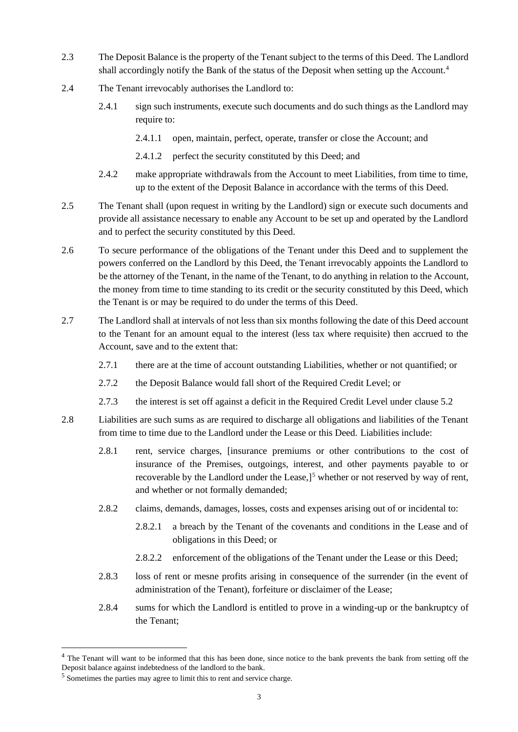- 2.3 The Deposit Balance is the property of the Tenant subject to the terms of this Deed. The Landlord shall accordingly notify the Bank of the status of the Deposit when setting up the Account.<sup>4</sup>
- 2.4 The Tenant irrevocably authorises the Landlord to:
	- 2.4.1 sign such instruments, execute such documents and do such things as the Landlord may require to:
		- 2.4.1.1 open, maintain, perfect, operate, transfer or close the Account; and
		- 2.4.1.2 perfect the security constituted by this Deed; and
	- 2.4.2 make appropriate withdrawals from the Account to meet Liabilities, from time to time, up to the extent of the Deposit Balance in accordance with the terms of this Deed.
- 2.5 The Tenant shall (upon request in writing by the Landlord) sign or execute such documents and provide all assistance necessary to enable any Account to be set up and operated by the Landlord and to perfect the security constituted by this Deed.
- 2.6 To secure performance of the obligations of the Tenant under this Deed and to supplement the powers conferred on the Landlord by this Deed, the Tenant irrevocably appoints the Landlord to be the attorney of the Tenant, in the name of the Tenant, to do anything in relation to the Account, the money from time to time standing to its credit or the security constituted by this Deed, which the Tenant is or may be required to do under the terms of this Deed.
- 2.7 The Landlord shall at intervals of not less than six months following the date of this Deed account to the Tenant for an amount equal to the interest (less tax where requisite) then accrued to the Account, save and to the extent that:
	- 2.7.1 there are at the time of account outstanding Liabilities, whether or not quantified; or
	- 2.7.2 the Deposit Balance would fall short of the Required Credit Level; or
	- 2.7.3 the interest is set off against a deficit in the Required Credit Level under clause [5.2](#page-8-3)
- <span id="page-7-0"></span>2.8 Liabilities are such sums as are required to discharge all obligations and liabilities of the Tenant from time to time due to the Landlord under the Lease or this Deed. Liabilities include:
	- 2.8.1 rent, service charges, [insurance premiums or other contributions to the cost of insurance of the Premises, outgoings, interest, and other payments payable to or recoverable by the Landlord under the Lease,]<sup>5</sup> whether or not reserved by way of rent, and whether or not formally demanded;
	- 2.8.2 claims, demands, damages, losses, costs and expenses arising out of or incidental to:
		- 2.8.2.1 a breach by the Tenant of the covenants and conditions in the Lease and of obligations in this Deed; or
		- 2.8.2.2 enforcement of the obligations of the Tenant under the Lease or this Deed;
	- 2.8.3 loss of rent or mesne profits arising in consequence of the surrender (in the event of administration of the Tenant), forfeiture or disclaimer of the Lease;
	- 2.8.4 sums for which the Landlord is entitled to prove in a winding-up or the bankruptcy of the Tenant;

<sup>&</sup>lt;sup>4</sup> The Tenant will want to be informed that this has been done, since notice to the bank prevents the bank from setting off the Deposit balance against indebtedness of the landlord to the bank.

<sup>5</sup> Sometimes the parties may agree to limit this to rent and service charge.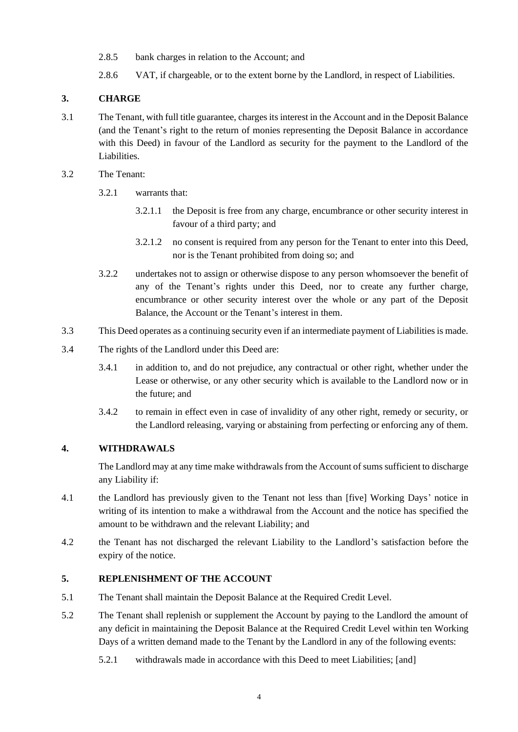- 2.8.5 bank charges in relation to the Account; and
- 2.8.6 VAT, if chargeable, or to the extent borne by the Landlord, in respect of Liabilities.

## <span id="page-8-0"></span>**3. CHARGE**

- 3.1 The Tenant, with full title guarantee, charges its interest in the Account and in the Deposit Balance (and the Tenant's right to the return of monies representing the Deposit Balance in accordance with this Deed) in favour of the Landlord as security for the payment to the Landlord of the Liabilities.
- 3.2 The Tenant:
	- 3.2.1 warrants that:
		- 3.2.1.1 the Deposit is free from any charge, encumbrance or other security interest in favour of a third party; and
		- 3.2.1.2 no consent is required from any person for the Tenant to enter into this Deed, nor is the Tenant prohibited from doing so; and
	- 3.2.2 undertakes not to assign or otherwise dispose to any person whomsoever the benefit of any of the Tenant's rights under this Deed, nor to create any further charge, encumbrance or other security interest over the whole or any part of the Deposit Balance, the Account or the Tenant's interest in them.
- 3.3 This Deed operates as a continuing security even if an intermediate payment of Liabilities is made.
- 3.4 The rights of the Landlord under this Deed are:
	- 3.4.1 in addition to, and do not prejudice, any contractual or other right, whether under the Lease or otherwise, or any other security which is available to the Landlord now or in the future; and
	- 3.4.2 to remain in effect even in case of invalidity of any other right, remedy or security, or the Landlord releasing, varying or abstaining from perfecting or enforcing any of them.

## <span id="page-8-1"></span>**4. WITHDRAWALS**

The Landlord may at any time make withdrawals from the Account of sums sufficient to discharge any Liability if:

- 4.1 the Landlord has previously given to the Tenant not less than [five] Working Days' notice in writing of its intention to make a withdrawal from the Account and the notice has specified the amount to be withdrawn and the relevant Liability; and
- 4.2 the Tenant has not discharged the relevant Liability to the Landlord's satisfaction before the expiry of the notice.

## <span id="page-8-2"></span>**5. REPLENISHMENT OF THE ACCOUNT**

- 5.1 The Tenant shall maintain the Deposit Balance at the Required Credit Level.
- <span id="page-8-3"></span>5.2 The Tenant shall replenish or supplement the Account by paying to the Landlord the amount of any deficit in maintaining the Deposit Balance at the Required Credit Level within ten Working Days of a written demand made to the Tenant by the Landlord in any of the following events:
	- 5.2.1 withdrawals made in accordance with this Deed to meet Liabilities; [and]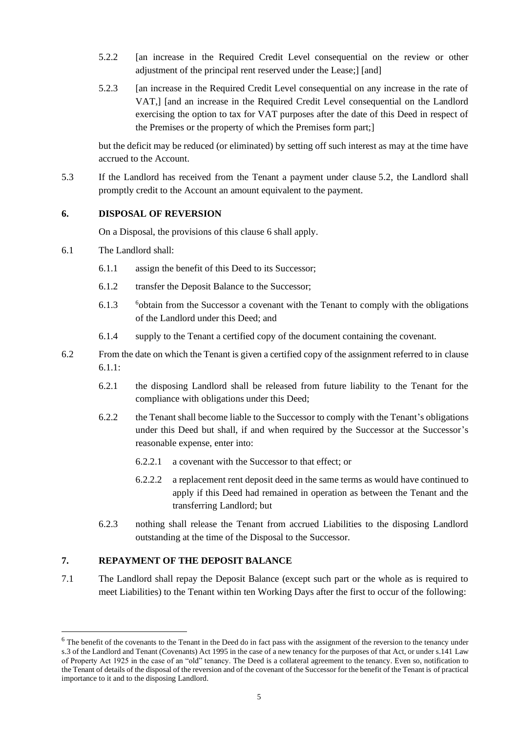- 5.2.2 [an increase in the Required Credit Level consequential on the review or other adjustment of the principal rent reserved under the Lease;] [and]
- 5.2.3 [an increase in the Required Credit Level consequential on any increase in the rate of VAT,] [and an increase in the Required Credit Level consequential on the Landlord exercising the option to tax for VAT purposes after the date of this Deed in respect of the Premises or the property of which the Premises form part;]

but the deficit may be reduced (or eliminated) by setting off such interest as may at the time have accrued to the Account.

5.3 If the Landlord has received from the Tenant a payment under clause [5.2,](#page-8-3) the Landlord shall promptly credit to the Account an amount equivalent to the payment.

#### <span id="page-9-0"></span>**6. DISPOSAL OF REVERSION**

On a Disposal, the provisions of this clause [6](#page-9-0) shall apply.

- <span id="page-9-3"></span>6.1 The Landlord shall:
	- 6.1.1 assign the benefit of this Deed to its Successor;
	- 6.1.2 transfer the Deposit Balance to the Successor;
	- 6.1.3 <sup>6</sup>obtain from the Successor a covenant with the Tenant to comply with the obligations of the Landlord under this Deed; and
	- 6.1.4 supply to the Tenant a certified copy of the document containing the covenant.
- 6.2 From the date on which the Tenant is given a certified copy of the assignment referred to in clause [6.1.1:](#page-9-3)
	- 6.2.1 the disposing Landlord shall be released from future liability to the Tenant for the compliance with obligations under this Deed;
	- 6.2.2 the Tenant shall become liable to the Successor to comply with the Tenant's obligations under this Deed but shall, if and when required by the Successor at the Successor's reasonable expense, enter into:
		- 6.2.2.1 a covenant with the Successor to that effect; or
		- 6.2.2.2 a replacement rent deposit deed in the same terms as would have continued to apply if this Deed had remained in operation as between the Tenant and the transferring Landlord; but
	- 6.2.3 nothing shall release the Tenant from accrued Liabilities to the disposing Landlord outstanding at the time of the Disposal to the Successor.

## <span id="page-9-2"></span>**7. REPAYMENT OF THE DEPOSIT BALANCE**

<span id="page-9-1"></span>7.1 The Landlord shall repay the Deposit Balance (except such part or the whole as is required to meet Liabilities) to the Tenant within ten Working Days after the first to occur of the following:

 $6$  The benefit of the covenants to the Tenant in the Deed do in fact pass with the assignment of the reversion to the tenancy under s.3 of the Landlord and Tenant (Covenants) Act 1995 in the case of a new tenancy for the purposes of that Act, or under s.141 Law of Property Act 1925 in the case of an "old" tenancy. The Deed is a collateral agreement to the tenancy. Even so, notification to the Tenant of details of the disposal of the reversion and of the covenant of the Successor for the benefit of the Tenant is of practical importance to it and to the disposing Landlord.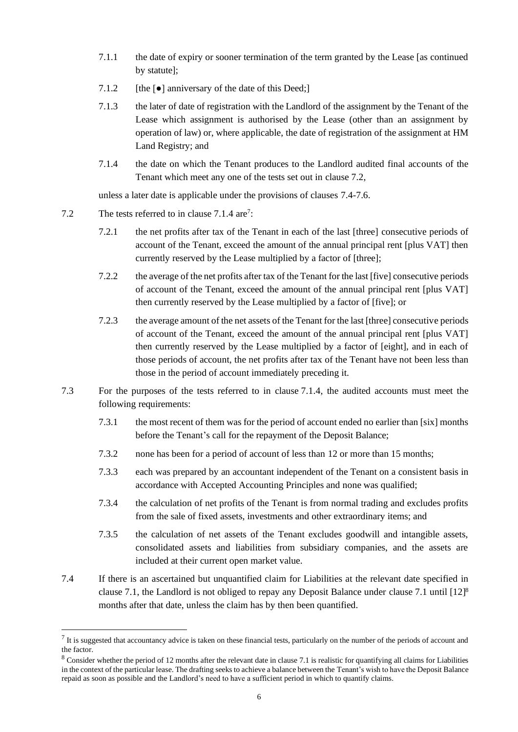- 7.1.1 the date of expiry or sooner termination of the term granted by the Lease [as continued by statute];
- 7.1.2 [the  $\lceil \bullet \rceil$  anniversary of the date of this Deed;]
- 7.1.3 the later of date of registration with the Landlord of the assignment by the Tenant of the Lease which assignment is authorised by the Lease (other than an assignment by operation of law) or, where applicable, the date of registration of the assignment at HM Land Registry; and
- <span id="page-10-2"></span>7.1.4 the date on which the Tenant produces to the Landlord audited final accounts of the Tenant which meet any one of the tests set out in clause [7.2,](#page-10-0)

unless a later date is applicable under the provisions of clauses [7.4](#page-10-1)[-7.6.](#page-11-5)

- <span id="page-10-0"></span>7.2 The tests referred to in clause [7.1.4](#page-10-2) are<sup>7</sup>:
	- 7.2.1 the net profits after tax of the Tenant in each of the last [three] consecutive periods of account of the Tenant, exceed the amount of the annual principal rent [plus VAT] then currently reserved by the Lease multiplied by a factor of [three];
	- 7.2.2 the average of the net profits after tax of the Tenant for the last [five] consecutive periods of account of the Tenant, exceed the amount of the annual principal rent [plus VAT] then currently reserved by the Lease multiplied by a factor of [five]; or
	- 7.2.3 the average amount of the net assets of the Tenant for the last [three] consecutive periods of account of the Tenant, exceed the amount of the annual principal rent [plus VAT] then currently reserved by the Lease multiplied by a factor of [eight], and in each of those periods of account, the net profits after tax of the Tenant have not been less than those in the period of account immediately preceding it.
- 7.3 For the purposes of the tests referred to in clause [7.1.4,](#page-10-2) the audited accounts must meet the following requirements:
	- 7.3.1 the most recent of them was for the period of account ended no earlier than [six] months before the Tenant's call for the repayment of the Deposit Balance;
	- 7.3.2 none has been for a period of account of less than [12](#page-11-1) or more than 15 months;
	- 7.3.3 each was prepared by an accountant independent of the Tenant on a consistent basis in accordance with Accepted Accounting Principles and none was qualified;
	- 7.3.4 the calculation of net profits of the Tenant is from normal trading and excludes profits from the sale of fixed assets, investments and other extraordinary items; and
	- 7.3.5 the calculation of net assets of the Tenant excludes goodwill and intangible assets, consolidated assets and liabilities from subsidiary companies, and the assets are included at their current open market value.
- <span id="page-10-1"></span>7.4 If there is an ascertained but unquantified claim for Liabilities at the relevant date specified in clause [7.1,](#page-9-1) the Landlord is not obliged to repay any Deposit Balance under clause [7.1](#page-9-1) until [12] 8 months after that date, unless the claim has by then been quantified.

 $<sup>7</sup>$  It is suggested that accountancy advice is taken on these financial tests, particularly on the number of the periods of account and</sup> the factor.

<sup>&</sup>lt;sup>8</sup> Consider whether the period of 12 months after the relevant date in clause 7.1 is realistic for quantifying all claims for Liabilities in the context of the particular lease. The drafting seeks to achieve a balance between the Tenant's wish to have the Deposit Balance repaid as soon as possible and the Landlord's need to have a sufficient period in which to quantify claims.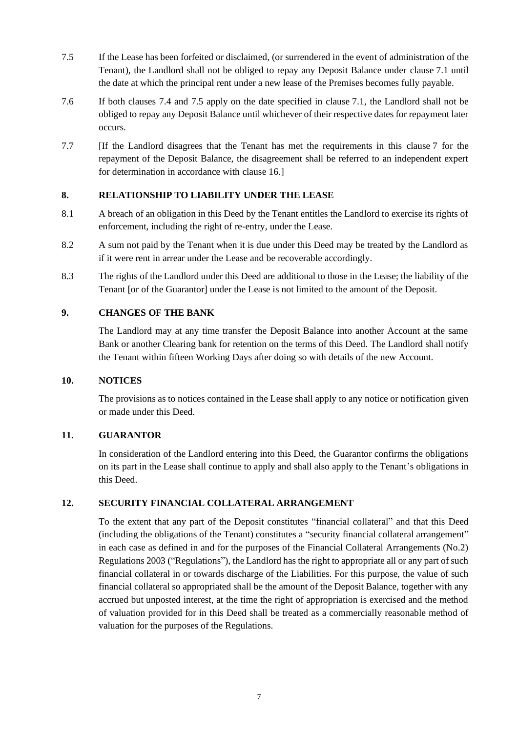- <span id="page-11-6"></span>7.5 If the Lease has been forfeited or disclaimed, (or surrendered in the event of administration of the Tenant), the Landlord shall not be obliged to repay any Deposit Balance under clause [7.1](#page-9-1) until the date at which the principal rent under a new lease of the Premises becomes fully payable.
- <span id="page-11-5"></span>7.6 If both clauses [7.4](#page-10-1) and [7.5](#page-11-6) apply on the date specified in clause [7.1,](#page-9-1) the Landlord shall not be obliged to repay any Deposit Balance until whichever of their respective dates for repayment later occurs.
- 7.7 [If the Landlord disagrees that the Tenant has met the requirements in this clause [7](#page-9-2) for the repayment of the Deposit Balance, the disagreement shall be referred to an independent expert for determination in accordance with clause [16.](#page-12-3)]

## <span id="page-11-3"></span>**8. RELATIONSHIP TO LIABILITY UNDER THE LEASE**

- 8.1 A breach of an obligation in this Deed by the Tenant entitles the Landlord to exercise its rights of enforcement, including the right of re-entry, under the Lease.
- 8.2 A sum not paid by the Tenant when it is due under this Deed may be treated by the Landlord as if it were rent in arrear under the Lease and be recoverable accordingly.
- 8.3 The rights of the Landlord under this Deed are additional to those in the Lease; the liability of the Tenant [or of the Guarantor] under the Lease is not limited to the amount of the Deposit.

#### <span id="page-11-4"></span>**9. CHANGES OF THE BANK**

The Landlord may at any time transfer the Deposit Balance into another Account at the same Bank or another Clearing bank for retention on the terms of this Deed. The Landlord shall notify the Tenant within fifteen Working Days after doing so with details of the new Account.

#### <span id="page-11-2"></span>**10. NOTICES**

The provisions as to notices contained in the Lease shall apply to any notice or notification given or made under this Deed.

#### <span id="page-11-0"></span>**11. GUARANTOR**

In consideration of the Landlord entering into this Deed, the Guarantor confirms the obligations on its part in the Lease shall continue to apply and shall also apply to the Tenant's obligations in this Deed.

#### <span id="page-11-1"></span>**12. SECURITY FINANCIAL COLLATERAL ARRANGEMENT**

To the extent that any part of the Deposit constitutes "financial collateral" and that this Deed (including the obligations of the Tenant) constitutes a "security financial collateral arrangement" in each case as defined in and for the purposes of the Financial Collateral Arrangements (No.2) Regulations 2003 ("Regulations"), the Landlord has the right to appropriate all or any part of such financial collateral in or towards discharge of the Liabilities. For this purpose, the value of such financial collateral so appropriated shall be the amount of the Deposit Balance, together with any accrued but unposted interest, at the time the right of appropriation is exercised and the method of valuation provided for in this Deed shall be treated as a commercially reasonable method of valuation for the purposes of the Regulations.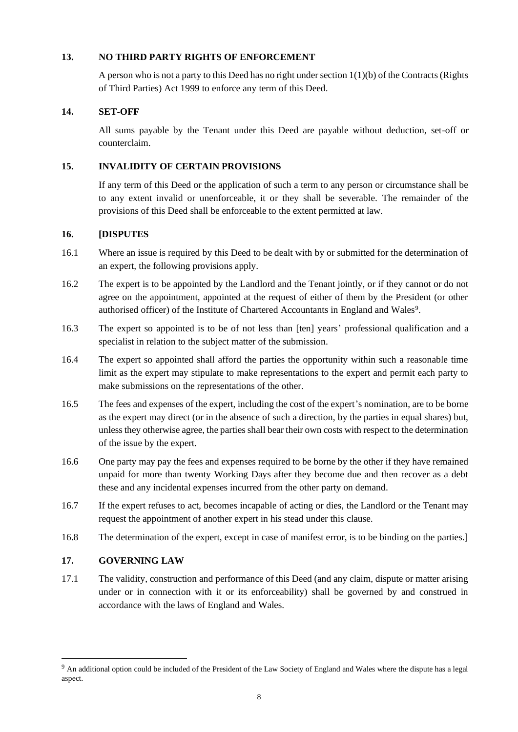#### <span id="page-12-0"></span>**13. NO THIRD PARTY RIGHTS OF ENFORCEMENT**

A person who is not a party to this Deed has no right under section 1(1)(b) of the Contracts (Rights of Third Parties) Act 1999 to enforce any term of this Deed.

## <span id="page-12-1"></span>**14. SET-OFF**

All sums payable by the Tenant under this Deed are payable without deduction, set-off or counterclaim.

## <span id="page-12-2"></span>**15. INVALIDITY OF CERTAIN PROVISIONS**

If any term of this Deed or the application of such a term to any person or circumstance shall be to any extent invalid or unenforceable, it or they shall be severable. The remainder of the provisions of this Deed shall be enforceable to the extent permitted at law.

#### <span id="page-12-3"></span>**16. [DISPUTES**

- 16.1 Where an issue is required by this Deed to be dealt with by or submitted for the determination of an expert, the following provisions apply.
- 16.2 The expert is to be appointed by the Landlord and the Tenant jointly, or if they cannot or do not agree on the appointment, appointed at the request of either of them by the President (or other authorised officer) of the Institute of Chartered Accountants in England and Wales<sup>9</sup>.
- 16.3 The expert so appointed is to be of not less than [ten] years' professional qualification and a specialist in relation to the subject matter of the submission.
- 16.4 The expert so appointed shall afford the parties the opportunity within such a reasonable time limit as the expert may stipulate to make representations to the expert and permit each party to make submissions on the representations of the other.
- 16.5 The fees and expenses of the expert, including the cost of the expert's nomination, are to be borne as the expert may direct (or in the absence of such a direction, by the parties in equal shares) but, unless they otherwise agree, the parties shall bear their own costs with respect to the determination of the issue by the expert.
- 16.6 One party may pay the fees and expenses required to be borne by the other if they have remained unpaid for more than twenty Working Days after they become due and then recover as a debt these and any incidental expenses incurred from the other party on demand.
- 16.7 If the expert refuses to act, becomes incapable of acting or dies, the Landlord or the Tenant may request the appointment of another expert in his stead under this clause.
- 16.8 The determination of the expert, except in case of manifest error, is to be binding on the parties.]

#### <span id="page-12-4"></span>**17. GOVERNING LAW**

17.1 The validity, construction and performance of this Deed (and any claim, dispute or matter arising under or in connection with it or its enforceability) shall be governed by and construed in accordance with the laws of England and Wales.

<sup>&</sup>lt;sup>9</sup> An additional option could be included of the President of the Law Society of England and Wales where the dispute has a legal aspect.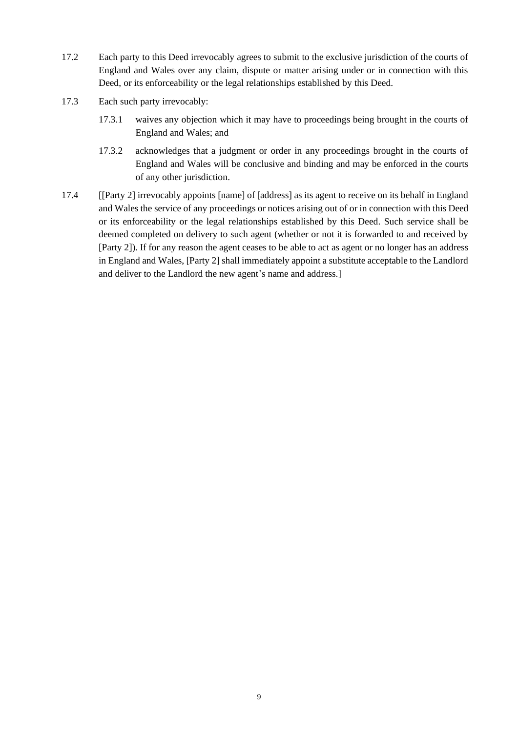- 17.2 Each party to this Deed irrevocably agrees to submit to the exclusive jurisdiction of the courts of England and Wales over any claim, dispute or matter arising under or in connection with this Deed, or its enforceability or the legal relationships established by this Deed.
- 17.3 Each such party irrevocably:
	- 17.3.1 waives any objection which it may have to proceedings being brought in the courts of England and Wales; and
	- 17.3.2 acknowledges that a judgment or order in any proceedings brought in the courts of England and Wales will be conclusive and binding and may be enforced in the courts of any other jurisdiction.
- 17.4 [[Party 2] irrevocably appoints [name] of [address] as its agent to receive on its behalf in England and Wales the service of any proceedings or notices arising out of or in connection with this Deed or its enforceability or the legal relationships established by this Deed. Such service shall be deemed completed on delivery to such agent (whether or not it is forwarded to and received by [Party 2]). If for any reason the agent ceases to be able to act as agent or no longer has an address in England and Wales, [Party 2] shall immediately appoint a substitute acceptable to the Landlord and deliver to the Landlord the new agent's name and address.]